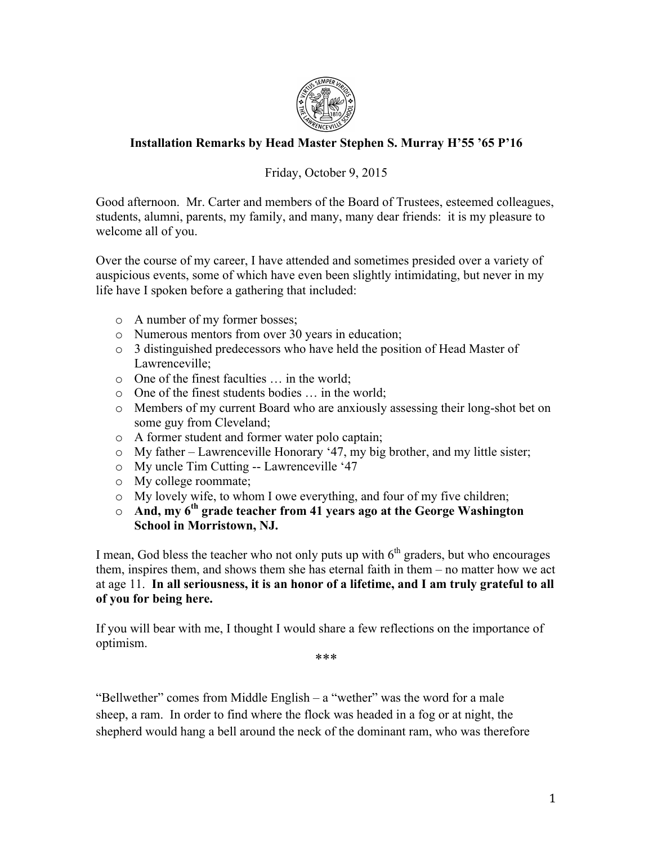

## **Installation Remarks by Head Master Stephen S. Murray H'55 '65 P'16**

## Friday, October 9, 2015

Good afternoon. Mr. Carter and members of the Board of Trustees, esteemed colleagues, students, alumni, parents, my family, and many, many dear friends: it is my pleasure to welcome all of you.

Over the course of my career, I have attended and sometimes presided over a variety of auspicious events, some of which have even been slightly intimidating, but never in my life have I spoken before a gathering that included:

- o A number of my former bosses;
- o Numerous mentors from over 30 years in education;
- o 3 distinguished predecessors who have held the position of Head Master of Lawrenceville;
- o One of the finest faculties … in the world;
- o One of the finest students bodies … in the world;
- o Members of my current Board who are anxiously assessing their long-shot bet on some guy from Cleveland;
- o A former student and former water polo captain;
- o My father Lawrenceville Honorary '47, my big brother, and my little sister;
- o My uncle Tim Cutting -- Lawrenceville '47
- o My college roommate;
- o My lovely wife, to whom I owe everything, and four of my five children;
- o **And, my 6th grade teacher from 41 years ago at the George Washington School in Morristown, NJ.**

I mean, God bless the teacher who not only puts up with  $6<sup>th</sup>$  graders, but who encourages them, inspires them, and shows them she has eternal faith in them – no matter how we act at age 11. **In all seriousness, it is an honor of a lifetime, and I am truly grateful to all of you for being here.** 

If you will bear with me, I thought I would share a few reflections on the importance of optimism.

\*\*\*

"Bellwether" comes from Middle English – a "wether" was the word for a male sheep, a ram. In order to find where the flock was headed in a fog or at night, the shepherd would hang a bell around the neck of the dominant ram, who was therefore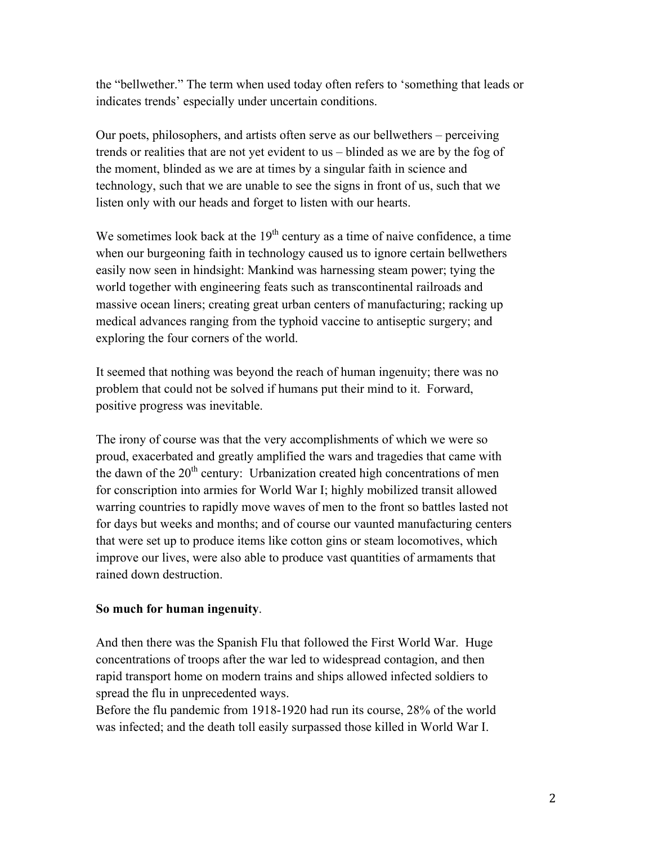the "bellwether." The term when used today often refers to 'something that leads or indicates trends' especially under uncertain conditions.

Our poets, philosophers, and artists often serve as our bellwethers – perceiving trends or realities that are not yet evident to us – blinded as we are by the fog of the moment, blinded as we are at times by a singular faith in science and technology, such that we are unable to see the signs in front of us, such that we listen only with our heads and forget to listen with our hearts.

We sometimes look back at the  $19<sup>th</sup>$  century as a time of naive confidence, a time when our burgeoning faith in technology caused us to ignore certain bellwethers easily now seen in hindsight: Mankind was harnessing steam power; tying the world together with engineering feats such as transcontinental railroads and massive ocean liners; creating great urban centers of manufacturing; racking up medical advances ranging from the typhoid vaccine to antiseptic surgery; and exploring the four corners of the world.

It seemed that nothing was beyond the reach of human ingenuity; there was no problem that could not be solved if humans put their mind to it. Forward, positive progress was inevitable.

The irony of course was that the very accomplishments of which we were so proud, exacerbated and greatly amplified the wars and tragedies that came with the dawn of the  $20<sup>th</sup>$  century: Urbanization created high concentrations of men for conscription into armies for World War I; highly mobilized transit allowed warring countries to rapidly move waves of men to the front so battles lasted not for days but weeks and months; and of course our vaunted manufacturing centers that were set up to produce items like cotton gins or steam locomotives, which improve our lives, were also able to produce vast quantities of armaments that rained down destruction.

## **So much for human ingenuity**.

And then there was the Spanish Flu that followed the First World War. Huge concentrations of troops after the war led to widespread contagion, and then rapid transport home on modern trains and ships allowed infected soldiers to spread the flu in unprecedented ways.

Before the flu pandemic from 1918-1920 had run its course, 28% of the world was infected; and the death toll easily surpassed those killed in World War I.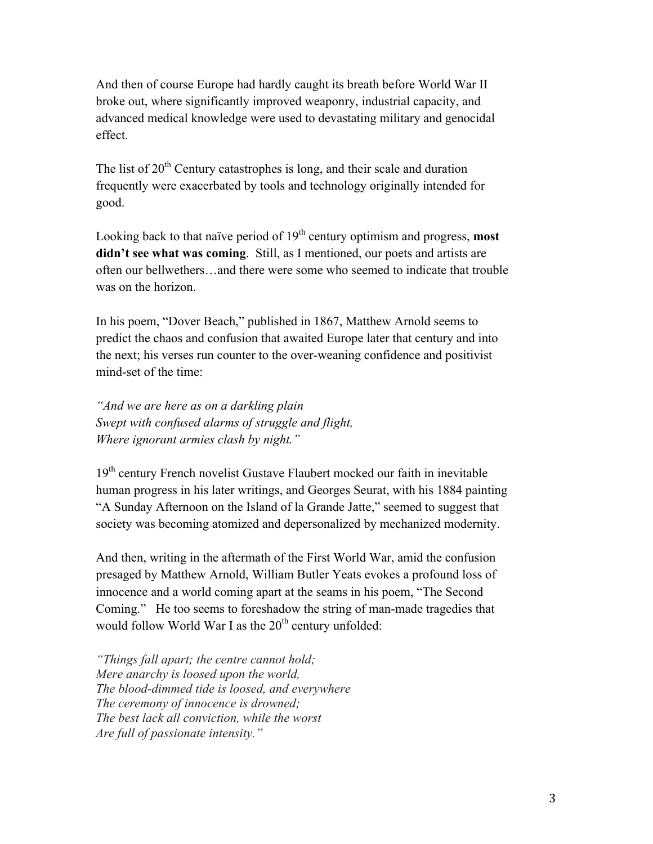And then of course Europe had hardly caught its breath before World War II broke out, where significantly improved weaponry, industrial capacity, and advanced medical knowledge were used to devastating military and genocidal effect.

The list of  $20<sup>th</sup>$  Century catastrophes is long, and their scale and duration frequently were exacerbated by tools and technology originally intended for good.

Looking back to that naïve period of 19<sup>th</sup> century optimism and progress, **most didn't see what was coming**. Still, as I mentioned, our poets and artists are often our bellwethers…and there were some who seemed to indicate that trouble was on the horizon.

In his poem, "Dover Beach," published in 1867, Matthew Arnold seems to predict the chaos and confusion that awaited Europe later that century and into the next; his verses run counter to the over-weaning confidence and positivist mind-set of the time:

*"And we are here as on a darkling plain Swept with confused alarms of struggle and flight, Where ignorant armies clash by night."*

19<sup>th</sup> century French novelist Gustave Flaubert mocked our faith in inevitable human progress in his later writings, and Georges Seurat, with his 1884 painting "A Sunday Afternoon on the Island of la Grande Jatte," seemed to suggest that society was becoming atomized and depersonalized by mechanized modernity.

And then, writing in the aftermath of the First World War, amid the confusion presaged by Matthew Arnold, William Butler Yeats evokes a profound loss of innocence and a world coming apart at the seams in his poem, "The Second Coming." He too seems to foreshadow the string of man-made tragedies that would follow World War I as the  $20<sup>th</sup>$  century unfolded:

*"Things fall apart; the centre cannot hold; Mere anarchy is loosed upon the world, The blood-dimmed tide is loosed, and everywhere The ceremony of innocence is drowned; The best lack all conviction, while the worst Are full of passionate intensity."*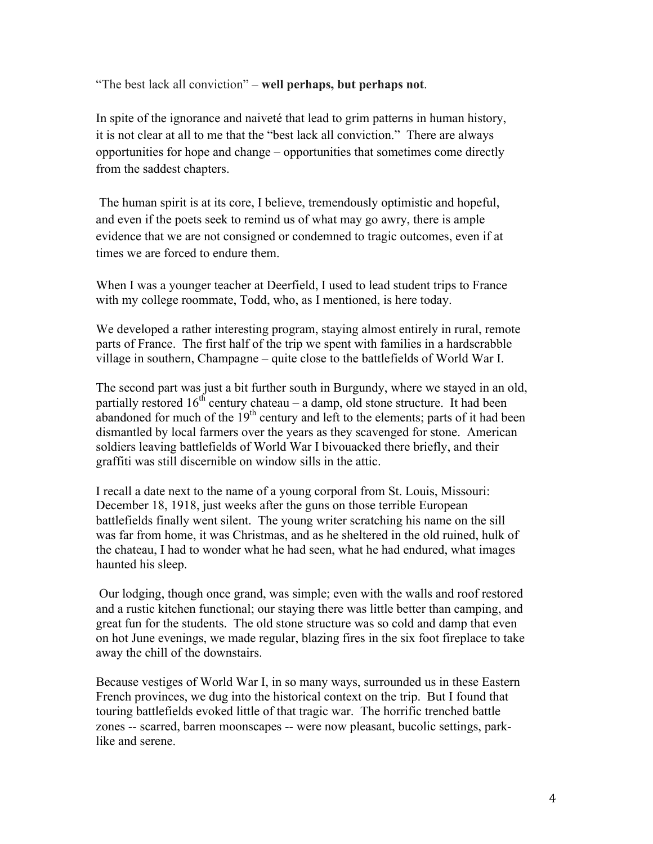"The best lack all conviction" – **well perhaps, but perhaps not**.

In spite of the ignorance and naiveté that lead to grim patterns in human history, it is not clear at all to me that the "best lack all conviction." There are always opportunities for hope and change – opportunities that sometimes come directly from the saddest chapters.

The human spirit is at its core, I believe, tremendously optimistic and hopeful, and even if the poets seek to remind us of what may go awry, there is ample evidence that we are not consigned or condemned to tragic outcomes, even if at times we are forced to endure them.

When I was a younger teacher at Deerfield, I used to lead student trips to France with my college roommate, Todd, who, as I mentioned, is here today.

We developed a rather interesting program, staying almost entirely in rural, remote parts of France. The first half of the trip we spent with families in a hardscrabble village in southern, Champagne – quite close to the battlefields of World War I.

The second part was just a bit further south in Burgundy, where we stayed in an old, partially restored  $16<sup>th</sup>$  century chateau – a damp, old stone structure. It had been abandoned for much of the  $19<sup>th</sup>$  century and left to the elements; parts of it had been dismantled by local farmers over the years as they scavenged for stone. American soldiers leaving battlefields of World War I bivouacked there briefly, and their graffiti was still discernible on window sills in the attic.

I recall a date next to the name of a young corporal from St. Louis, Missouri: December 18, 1918, just weeks after the guns on those terrible European battlefields finally went silent. The young writer scratching his name on the sill was far from home, it was Christmas, and as he sheltered in the old ruined, hulk of the chateau, I had to wonder what he had seen, what he had endured, what images haunted his sleep.

Our lodging, though once grand, was simple; even with the walls and roof restored and a rustic kitchen functional; our staying there was little better than camping, and great fun for the students. The old stone structure was so cold and damp that even on hot June evenings, we made regular, blazing fires in the six foot fireplace to take away the chill of the downstairs.

Because vestiges of World War I, in so many ways, surrounded us in these Eastern French provinces, we dug into the historical context on the trip. But I found that touring battlefields evoked little of that tragic war. The horrific trenched battle zones -- scarred, barren moonscapes -- were now pleasant, bucolic settings, parklike and serene.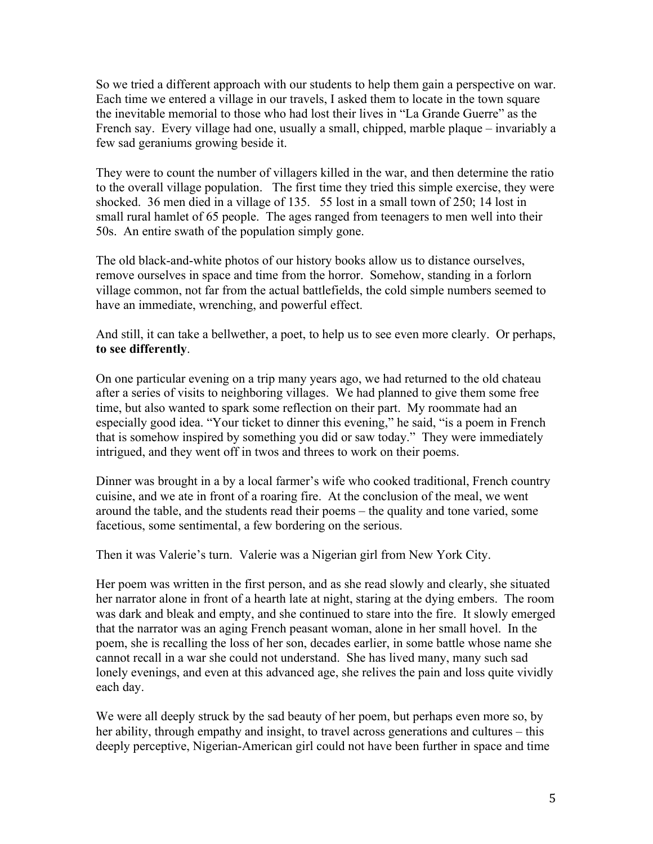So we tried a different approach with our students to help them gain a perspective on war. Each time we entered a village in our travels, I asked them to locate in the town square the inevitable memorial to those who had lost their lives in "La Grande Guerre" as the French say. Every village had one, usually a small, chipped, marble plaque – invariably a few sad geraniums growing beside it.

They were to count the number of villagers killed in the war, and then determine the ratio to the overall village population. The first time they tried this simple exercise, they were shocked. 36 men died in a village of 135. 55 lost in a small town of 250; 14 lost in small rural hamlet of 65 people. The ages ranged from teenagers to men well into their 50s. An entire swath of the population simply gone.

The old black-and-white photos of our history books allow us to distance ourselves, remove ourselves in space and time from the horror. Somehow, standing in a forlorn village common, not far from the actual battlefields, the cold simple numbers seemed to have an immediate, wrenching, and powerful effect.

And still, it can take a bellwether, a poet, to help us to see even more clearly. Or perhaps, **to see differently**.

On one particular evening on a trip many years ago, we had returned to the old chateau after a series of visits to neighboring villages. We had planned to give them some free time, but also wanted to spark some reflection on their part. My roommate had an especially good idea. "Your ticket to dinner this evening," he said, "is a poem in French that is somehow inspired by something you did or saw today." They were immediately intrigued, and they went off in twos and threes to work on their poems.

Dinner was brought in a by a local farmer's wife who cooked traditional, French country cuisine, and we ate in front of a roaring fire. At the conclusion of the meal, we went around the table, and the students read their poems – the quality and tone varied, some facetious, some sentimental, a few bordering on the serious.

Then it was Valerie's turn. Valerie was a Nigerian girl from New York City.

Her poem was written in the first person, and as she read slowly and clearly, she situated her narrator alone in front of a hearth late at night, staring at the dying embers. The room was dark and bleak and empty, and she continued to stare into the fire. It slowly emerged that the narrator was an aging French peasant woman, alone in her small hovel. In the poem, she is recalling the loss of her son, decades earlier, in some battle whose name she cannot recall in a war she could not understand. She has lived many, many such sad lonely evenings, and even at this advanced age, she relives the pain and loss quite vividly each day.

We were all deeply struck by the sad beauty of her poem, but perhaps even more so, by her ability, through empathy and insight, to travel across generations and cultures – this deeply perceptive, Nigerian-American girl could not have been further in space and time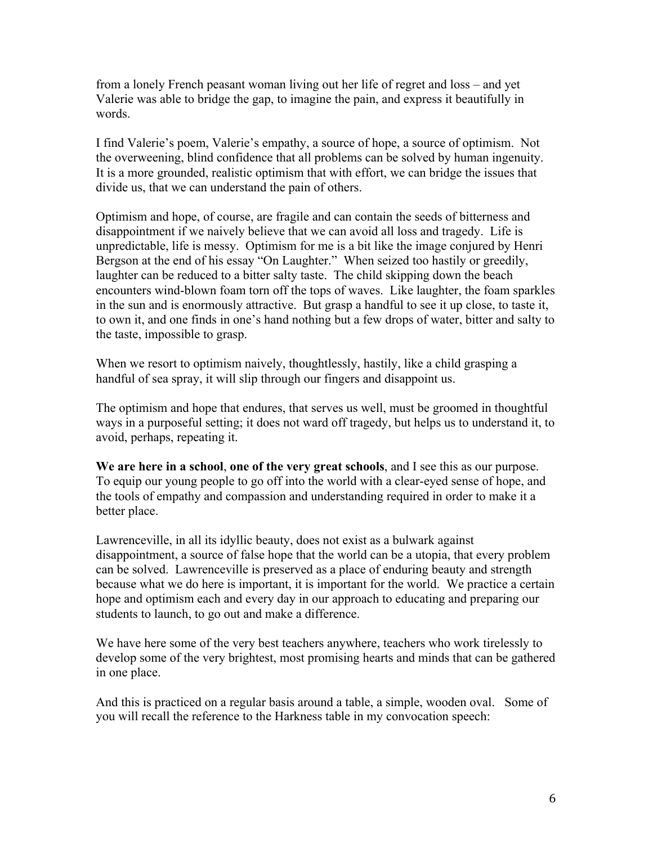from a lonely French peasant woman living out her life of regret and loss – and yet Valerie was able to bridge the gap, to imagine the pain, and express it beautifully in words.

I find Valerie's poem, Valerie's empathy, a source of hope, a source of optimism. Not the overweening, blind confidence that all problems can be solved by human ingenuity. It is a more grounded, realistic optimism that with effort, we can bridge the issues that divide us, that we can understand the pain of others.

Optimism and hope, of course, are fragile and can contain the seeds of bitterness and disappointment if we naively believe that we can avoid all loss and tragedy. Life is unpredictable, life is messy. Optimism for me is a bit like the image conjured by Henri Bergson at the end of his essay "On Laughter." When seized too hastily or greedily, laughter can be reduced to a bitter salty taste. The child skipping down the beach encounters wind-blown foam torn off the tops of waves. Like laughter, the foam sparkles in the sun and is enormously attractive. But grasp a handful to see it up close, to taste it, to own it, and one finds in one's hand nothing but a few drops of water, bitter and salty to the taste, impossible to grasp.

When we resort to optimism naively, thoughtlessly, hastily, like a child grasping a handful of sea spray, it will slip through our fingers and disappoint us.

The optimism and hope that endures, that serves us well, must be groomed in thoughtful ways in a purposeful setting; it does not ward off tragedy, but helps us to understand it, to avoid, perhaps, repeating it.

**We are here in a school**, **one of the very great schools**, and I see this as our purpose. To equip our young people to go off into the world with a clear-eyed sense of hope, and the tools of empathy and compassion and understanding required in order to make it a better place.

Lawrenceville, in all its idyllic beauty, does not exist as a bulwark against disappointment, a source of false hope that the world can be a utopia, that every problem can be solved. Lawrenceville is preserved as a place of enduring beauty and strength because what we do here is important, it is important for the world. We practice a certain hope and optimism each and every day in our approach to educating and preparing our students to launch, to go out and make a difference.

We have here some of the very best teachers anywhere, teachers who work tirelessly to develop some of the very brightest, most promising hearts and minds that can be gathered in one place.

And this is practiced on a regular basis around a table, a simple, wooden oval. Some of you will recall the reference to the Harkness table in my convocation speech: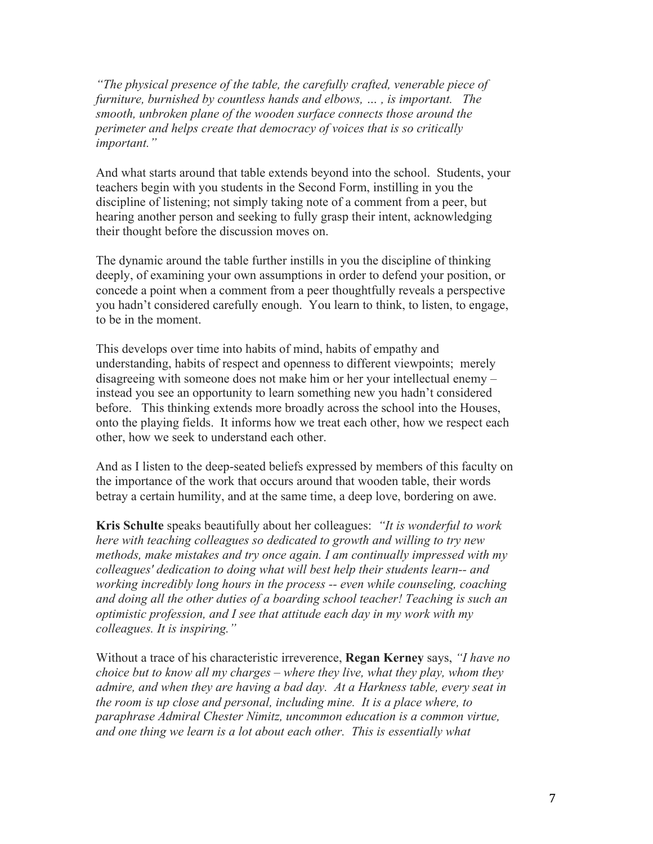*"The physical presence of the table, the carefully crafted, venerable piece of furniture, burnished by countless hands and elbows, … , is important. The smooth, unbroken plane of the wooden surface connects those around the perimeter and helps create that democracy of voices that is so critically important."* 

And what starts around that table extends beyond into the school. Students, your teachers begin with you students in the Second Form, instilling in you the discipline of listening; not simply taking note of a comment from a peer, but hearing another person and seeking to fully grasp their intent, acknowledging their thought before the discussion moves on.

The dynamic around the table further instills in you the discipline of thinking deeply, of examining your own assumptions in order to defend your position, or concede a point when a comment from a peer thoughtfully reveals a perspective you hadn't considered carefully enough. You learn to think, to listen, to engage, to be in the moment.

This develops over time into habits of mind, habits of empathy and understanding, habits of respect and openness to different viewpoints; merely disagreeing with someone does not make him or her your intellectual enemy – instead you see an opportunity to learn something new you hadn't considered before. This thinking extends more broadly across the school into the Houses, onto the playing fields. It informs how we treat each other, how we respect each other, how we seek to understand each other.

And as I listen to the deep-seated beliefs expressed by members of this faculty on the importance of the work that occurs around that wooden table, their words betray a certain humility, and at the same time, a deep love, bordering on awe.

**Kris Schulte** speaks beautifully about her colleagues: *"It is wonderful to work here with teaching colleagues so dedicated to growth and willing to try new methods, make mistakes and try once again. I am continually impressed with my colleagues' dedication to doing what will best help their students learn-- and working incredibly long hours in the process -- even while counseling, coaching and doing all the other duties of a boarding school teacher! Teaching is such an optimistic profession, and I see that attitude each day in my work with my colleagues. It is inspiring."*

Without a trace of his characteristic irreverence, **Regan Kerney** says, *"I have no choice but to know all my charges – where they live, what they play, whom they admire, and when they are having a bad day. At a Harkness table, every seat in the room is up close and personal, including mine. It is a place where, to paraphrase Admiral Chester Nimitz, uncommon education is a common virtue, and one thing we learn is a lot about each other. This is essentially what*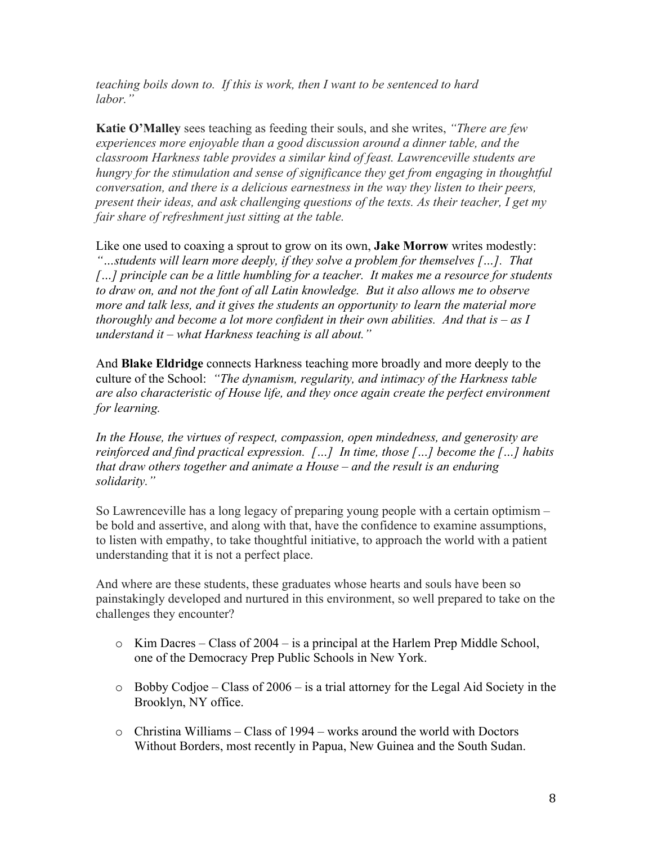*teaching boils down to. If this is work, then I want to be sentenced to hard labor."* 

**Katie O'Malley** sees teaching as feeding their souls, and she writes, *"There are few experiences more enjoyable than a good discussion around a dinner table, and the classroom Harkness table provides a similar kind of feast. Lawrenceville students are hungry for the stimulation and sense of significance they get from engaging in thoughtful conversation, and there is a delicious earnestness in the way they listen to their peers, present their ideas, and ask challenging questions of the texts. As their teacher, I get my fair share of refreshment just sitting at the table.* 

Like one used to coaxing a sprout to grow on its own, **Jake Morrow** writes modestly: *"…students will learn more deeply, if they solve a problem for themselves […]. That […] principle can be a little humbling for a teacher. It makes me a resource for students to draw on, and not the font of all Latin knowledge. But it also allows me to observe more and talk less, and it gives the students an opportunity to learn the material more thoroughly and become a lot more confident in their own abilities. And that is – as I understand it – what Harkness teaching is all about."*

And **Blake Eldridge** connects Harkness teaching more broadly and more deeply to the culture of the School: *"The dynamism, regularity, and intimacy of the Harkness table are also characteristic of House life, and they once again create the perfect environment for learning.* 

*In the House, the virtues of respect, compassion, open mindedness, and generosity are reinforced and find practical expression. […] In time, those […] become the […] habits that draw others together and animate a House – and the result is an enduring solidarity."*

So Lawrenceville has a long legacy of preparing young people with a certain optimism – be bold and assertive, and along with that, have the confidence to examine assumptions, to listen with empathy, to take thoughtful initiative, to approach the world with a patient understanding that it is not a perfect place.

And where are these students, these graduates whose hearts and souls have been so painstakingly developed and nurtured in this environment, so well prepared to take on the challenges they encounter?

- o Kim Dacres Class of 2004 is a principal at the Harlem Prep Middle School, one of the Democracy Prep Public Schools in New York.
- o Bobby Codjoe Class of 2006 is a trial attorney for the Legal Aid Society in the Brooklyn, NY office.
- $\circ$  Christina Williams Class of 1994 works around the world with Doctors Without Borders, most recently in Papua, New Guinea and the South Sudan.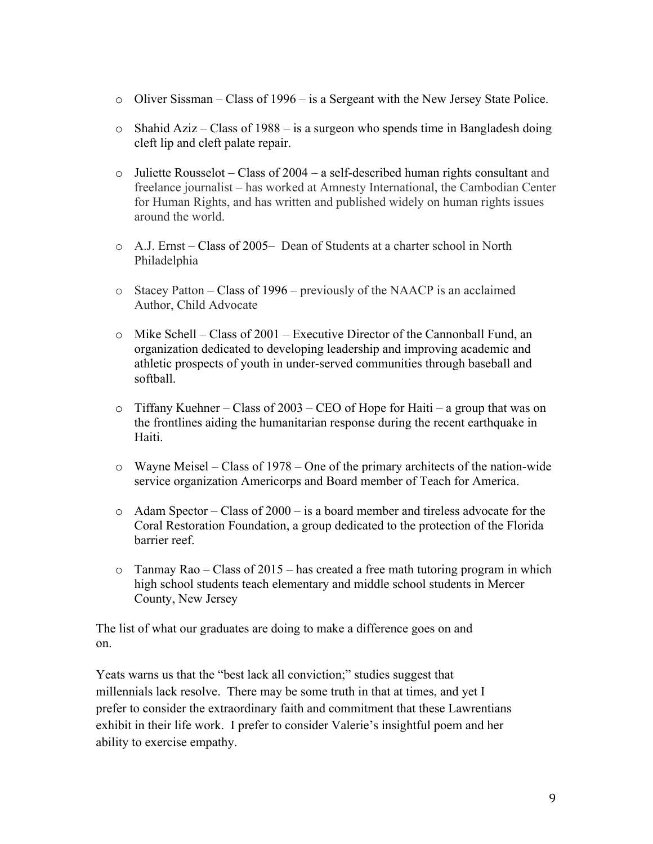- o Oliver Sissman Class of 1996 is a Sergeant with the New Jersey State Police.
- o Shahid Aziz Class of 1988 is a surgeon who spends time in Bangladesh doing cleft lip and cleft palate repair.
- $\circ$  Juliette Rousselot Class of 2004 a self-described human rights consultant and freelance journalist – has worked at Amnesty International, the Cambodian Center for Human Rights, and has written and published widely on human rights issues around the world.
- o A.J. Ernst Class of 2005– Dean of Students at a charter school in North Philadelphia
- o Stacey Patton Class of 1996 previously of the NAACP is an acclaimed Author, Child Advocate
- o Mike Schell Class of 2001 Executive Director of the Cannonball Fund, an organization dedicated to developing leadership and improving academic and athletic prospects of youth in under-served communities through baseball and softball.
- $\circ$  Tiffany Kuehner Class of 2003 CEO of Hope for Haiti a group that was on the frontlines aiding the humanitarian response during the recent earthquake in Haiti.
- o Wayne Meisel Class of 1978 One of the primary architects of the nation-wide service organization Americorps and Board member of Teach for America.
- o Adam Spector Class of 2000 is a board member and tireless advocate for the Coral Restoration Foundation, a group dedicated to the protection of the Florida barrier reef.
- $\circ$  Tanmay Rao Class of 2015 has created a free math tutoring program in which high school students teach elementary and middle school students in Mercer County, New Jersey

The list of what our graduates are doing to make a difference goes on and on.

Yeats warns us that the "best lack all conviction;" studies suggest that millennials lack resolve. There may be some truth in that at times, and yet I prefer to consider the extraordinary faith and commitment that these Lawrentians exhibit in their life work. I prefer to consider Valerie's insightful poem and her ability to exercise empathy.